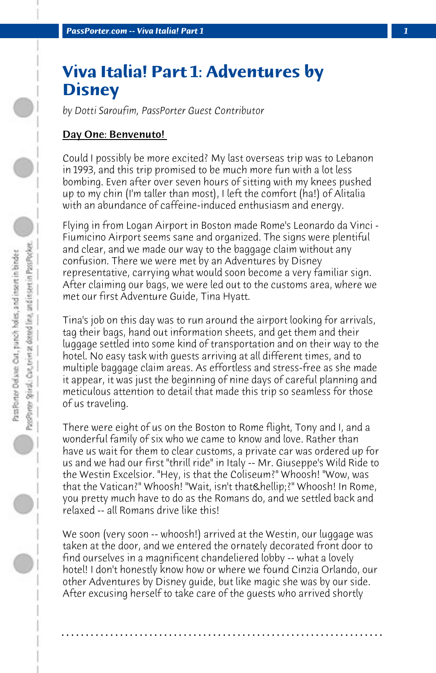# **Viva Italia! Part 1: Adventures by Disney**

*by Dotti Saroufim, PassPorter Guest Contributor*

## Day One: Benvenuto!

Could I possibly be more excited? My last overseas trip was to Lebanon in 1993, and this trip promised to be much more fun with a lot less bombing. Even after over seven hours of sitting with my knees pushed up to my chin (I'm taller than most), I left the comfort (ha!) of Alitalia with an abundance of caffeine-induced enthusiasm and energy.

Flying in from Logan Airport in Boston made Rome's Leonardo da Vinci - Fiumicino Airport seems sane and organized. The signs were plentiful and clear, and we made our way to the baggage claim without any confusion. There we were met by an Adventures by Disney representative, carrying what would soon become a very familiar sign. After claiming our bags, we were led out to the customs area, where we met our first Adventure Guide, Tina Hyatt.

Tina's job on this day was to run around the airport looking for arrivals, tag their bags, hand out information sheets, and get them and their luggage settled into some kind of transportation and on their way to the hotel. No easy task with guests arriving at all different times, and to multiple baggage claim areas. As effortless and stress-free as she made it appear, it was just the beginning of nine days of careful planning and meticulous attention to detail that made this trip so seamless for those of us traveling.

There were eight of us on the Boston to Rome flight, Tony and I, and a wonderful family of six who we came to know and love. Rather than have us wait for them to clear customs, a private car was ordered up for us and we had our first "thrill ride" in Italy -- Mr. Giuseppe's Wild Ride to the Westin Excelsior. "Hey, is that the Coliseum?" Whoosh! "Wow, was that the Vatican?" Whoosh! "Wait, isn't that & hellip:?" Whoosh! In Rome, you pretty much have to do as the Romans do, and we settled back and relaxed -- all Romans drive like this!

We soon (very soon -- whoosh!) arrived at the Westin, our luggage was taken at the door, and we entered the ornately decorated front door to find ourselves in a magnificent chandeliered lobby -- what a lovely hotel! I don't honestly know how or where we found Cinzia Orlando, our other Adventures by Disney guide, but like magic she was by our side. After excusing herself to take care of the guests who arrived shortly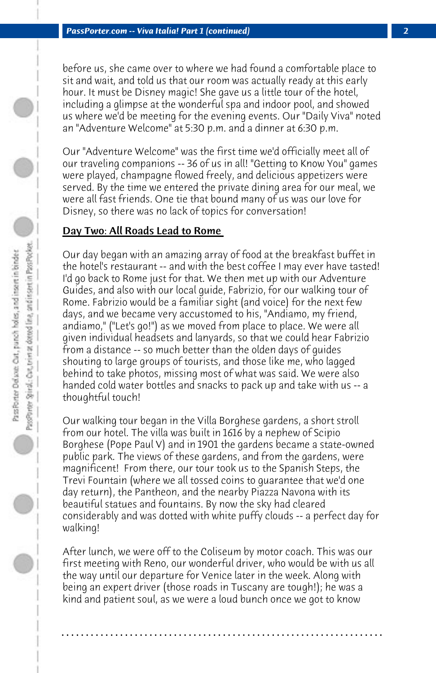before us, she came over to where we had found a comfortable place to sit and wait, and told us that our room was actually ready at this early hour. It must be Disney magic! She gave us a little tour of the hotel, including a glimpse at the wonderful spa and indoor pool, and showed us where we'd be meeting for the evening events. Our "Daily Viva" noted an "Adventure Welcome" at 5:30 p.m. and a dinner at 6:30 p.m.

Our "Adventure Welcome" was the first time we'd officially meet all of our traveling companions -- 36 of us in all! "Getting to Know You" games were played, champagne flowed freely, and delicious appetizers were served. By the time we entered the private dining area for our meal, we were all fast friends. One tie that bound many of us was our love for Disney, so there was no lack of topics for conversation!

# Day Two: All Roads Lead to Rome

Our day began with an amazing array of food at the breakfast buffet in the hotel's restaurant -- and with the best coffee I may ever have tasted! I'd go back to Rome just for that. We then met up with our Adventure Guides, and also with our local guide, Fabrizio, for our walking tour of Rome. Fabrizio would be a familiar sight (and voice) for the next few days, and we became very accustomed to his, "Andiamo, my friend, andiamo," ("Let's go!") as we moved from place to place. We were all given individual headsets and lanyards, so that we could hear Fabrizio from a distance -- so much better than the olden days of guides shouting to large groups of tourists, and those like me, who lagged behind to take photos, missing most of what was said. We were also handed cold water bottles and snacks to pack up and take with us -- a thoughtful touch!

Our walking tour began in the Villa Borghese gardens, a short stroll from our hotel. The villa was built in 1616 by a nephew of Scipio Borghese (Pope Paul V) and in 1901 the gardens became a state-owned public park. The views of these gardens, and from the gardens, were magnificent! From there, our tour took us to the Spanish Steps, the Trevi Fountain (where we all tossed coins to guarantee that we'd one day return), the Pantheon, and the nearby Piazza Navona with its beautiful statues and fountains. By now the sky had cleared considerably and was dotted with white puffy clouds -- a perfect day for walking!

After lunch, we were off to the Coliseum by motor coach. This was our first meeting with Reno, our wonderful driver, who would be with us all the way until our departure for Venice later in the week. Along with being an expert driver (those roads in Tuscany are tough!); he was a kind and patient soul, as we were a loud bunch once we got to know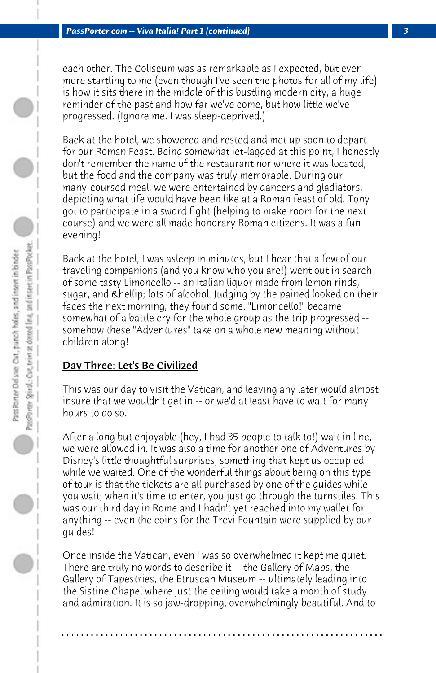each other. The Coliseum was as remarkable as I expected, but even more startling to me (even though I've seen the photos for all of my life) is how it sits there in the middle of this bustling modern city, a huge reminder of the past and how far we've come, but how little we've progressed. (Ignore me. I was sleep-deprived.)

Back at the hotel, we showered and rested and met up soon to depart for our Roman Feast. Being somewhat jet-lagged at this point, I honestly don't remember the name of the restaurant nor where it was located, but the food and the company was truly memorable. During our many-coursed meal, we were entertained by dancers and gladiators, depicting what life would have been like at a Roman feast of old. Tony got to participate in a sword fight (helping to make room for the next course) and we were all made honorary Roman citizens. It was a fun evening!

Back at the hotel, I was asleep in minutes, but I hear that a few of our traveling companions (and you know who you are!) went out in search of some tasty Limoncello -- an Italian liquor made from lemon rinds, sugar, and **… lots of alcohol. Judging by the pained looked on their** faces the next morning, they found some. "Limoncello!" became somewhat of a battle cry for the whole group as the trip progressed - somehow these "Adventures" take on a whole new meaning without children along!

# Day Three: Let's Be Civilized

This was our day to visit the Vatican, and leaving any later would almost insure that we wouldn't get in -- or we'd at least have to wait for many hours to do so.

After a long but enjoyable (hey, I had 35 people to talk to!) wait in line, we were allowed in. It was also a time for another one of Adventures by Disney's little thoughtful surprises, something that kept us occupied while we waited. One of the wonderful things about being on this type of tour is that the tickets are all purchased by one of the guides while you wait; when it's time to enter, you just go through the turnstiles. This was our third day in Rome and I hadn't yet reached into my wallet for anything -- even the coins for the Trevi Fountain were supplied by our guides!

Once inside the Vatican, even I was so overwhelmed it kept me quiet. There are truly no words to describe it -- the Gallery of Maps, the Gallery of Tapestries, the Etruscan Museum -- ultimately leading into the Sistine Chapel where just the ceiling would take a month of study and admiration. It is so jaw-dropping, overwhelmingly beautiful. And to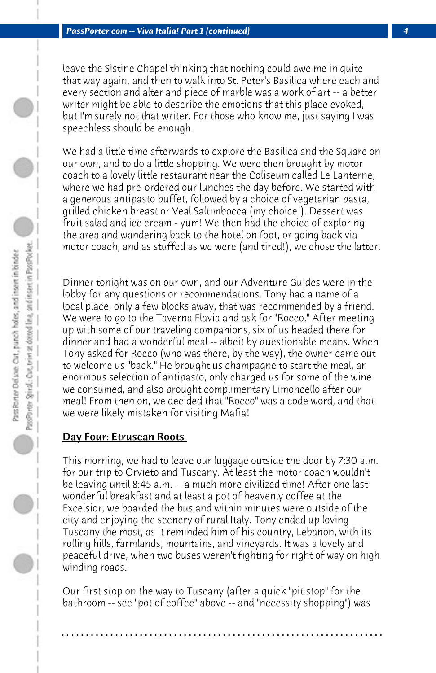leave the Sistine Chapel thinking that nothing could awe me in quite that way again, and then to walk into St. Peter's Basilica where each and every section and alter and piece of marble was a work of art -- a better writer might be able to describe the emotions that this place evoked, but I'm surely not that writer. For those who know me, just saying I was speechless should be enough.

We had a little time afterwards to explore the Basilica and the Square on our own, and to do a little shopping. We were then brought by motor coach to a lovely little restaurant near the Coliseum called Le Lanterne, where we had pre-ordered our lunches the day before. We started with a generous antipasto buffet, followed by a choice of vegetarian pasta, grilled chicken breast or Veal Saltimbocca (my choice!). Dessert was fruit salad and ice cream - yum! We then had the choice of exploring the area and wandering back to the hotel on foot, or going back via motor coach, and as stuffed as we were (and tired!), we chose the latter.

Dinner tonight was on our own, and our Adventure Guides were in the lobby for any questions or recommendations. Tony had a name of a local place, only a few blocks away, that was recommended by a friend. We were to go to the Taverna Flavia and ask for "Rocco." After meeting up with some of our traveling companions, six of us headed there for dinner and had a wonderful meal -- albeit by questionable means. When Tony asked for Rocco (who was there, by the way), the owner came out to welcome us "back." He brought us champagne to start the meal, an enormous selection of antipasto, only charged us for some of the wine we consumed, and also brought complimentary Limoncello after our meal! From then on, we decided that "Rocco" was a code word, and that we were likely mistaken for visiting Mafia!

## Day Four: Etruscan Roots

This morning, we had to leave our luggage outside the door by 7:30 a.m. for our trip to Orvieto and Tuscany. At least the motor coach wouldn't be leaving until 8:45 a.m. -- a much more civilized time! After one last wonderful breakfast and at least a pot of heavenly coffee at the Excelsior, we boarded the bus and within minutes were outside of the city and enjoying the scenery of rural Italy. Tony ended up loving Tuscany the most, as it reminded him of his country, Lebanon, with its rolling hills, farmlands, mountains, and vineyards. It was a lovely and peaceful drive, when two buses weren't fighting for right of way on high winding roads.

Our first stop on the way to Tuscany (after a quick "pit stop" for the bathroom -- see "pot of coffee" above -- and "necessity shopping") was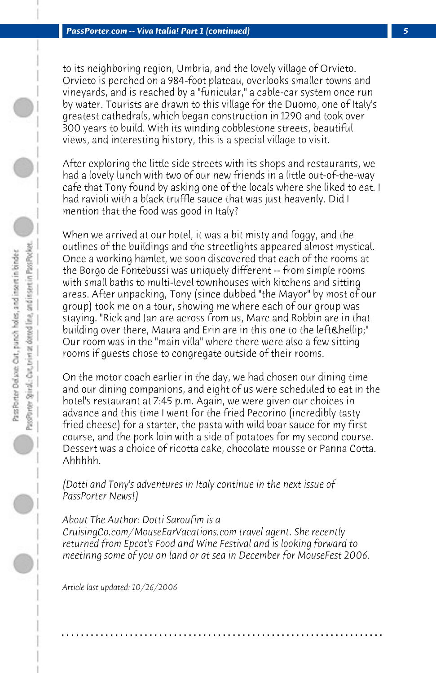to its neighboring region, Umbria, and the lovely village of Orvieto. Orvieto is perched on a 984-foot plateau, overlooks smaller towns and vineyards, and is reached by a "funicular," a cable-car system once run by water. Tourists are drawn to this village for the Duomo, one of Italy's greatest cathedrals, which began construction in 1290 and took over 300 years to build. With its winding cobblestone streets, beautiful views, and interesting history, this is a special village to visit.

After exploring the little side streets with its shops and restaurants, we had a lovely lunch with two of our new friends in a little out-of-the-way cafe that Tony found by asking one of the locals where she liked to eat. I had ravioli with a black truffle sauce that was just heavenly. Did I mention that the food was good in Italy?

When we arrived at our hotel, it was a bit misty and foggy, and the outlines of the buildings and the streetlights appeared almost mystical. Once a working hamlet, we soon discovered that each of the rooms at the Borgo de Fontebussi was uniquely different -- from simple rooms with small baths to multi-level townhouses with kitchens and sitting areas. After unpacking, Tony (since dubbed "the Mayor" by most of our group) took me on a tour, showing me where each of our group was staying. "Rick and Jan are across from us, Marc and Robbin are in that building over there, Maura and Erin are in this one to the left…" Our room was in the "main villa" where there were also a few sitting rooms if guests chose to congregate outside of their rooms.

On the motor coach earlier in the day, we had chosen our dining time and our dining companions, and eight of us were scheduled to eat in the hotel's restaurant at 7:45 p.m. Again, we were given our choices in advance and this time I went for the fried Pecorino (incredibly tasty fried cheese) for a starter, the pasta with wild boar sauce for my first course, and the pork loin with a side of potatoes for my second course. Dessert was a choice of ricotta cake, chocolate mousse or Panna Cotta. Ahhhhh.

*(Dotti and Tony's adventures in Italy continue in the next issue of PassPorter News!)*

#### *About The Author: Dotti Saroufim is a*

*CruisingCo.com/MouseEarVacations.com travel agent. She recently returned from Epcot's Food and Wine Festival and is looking forward to meetinng some of you on land or at sea in December for MouseFest 2006.*

**. . . . . . . . . . . . . . . . . . . . . . . . . . . . . . . . . . . . . . . . . . . . . . . . . . . . . . . . . . . . . . . . . .**

*Article last updated: 10/26/2006*